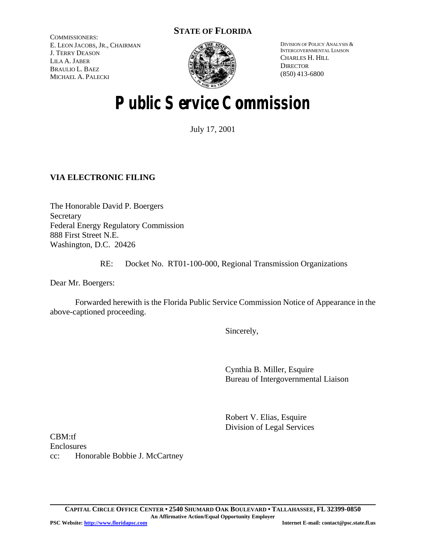# **STATE OF FLORIDA**

COMMISSIONERS: E. LEON JACOBS, JR., CHAIRMAN J. TERRY DEASON LILA A. JABER BRAULIO L. BAEZ MICHAEL A. PALECKI



DIVISION OF POLICY ANALYSIS & INTERGOVERNMENTAL LIAISON CHARLES H. HILL **DIRECTOR** (850) 413-6800

# **Public Service Commission**

July 17, 2001

# **VIA ELECTRONIC FILING**

The Honorable David P. Boergers **Secretary** Federal Energy Regulatory Commission 888 First Street N.E. Washington, D.C. 20426

RE: Docket No. RT01-100-000, Regional Transmission Organizations

Dear Mr. Boergers:

Forwarded herewith is the Florida Public Service Commission Notice of Appearance in the above-captioned proceeding.

Sincerely,

Cynthia B. Miller, Esquire Bureau of Intergovernmental Liaison

Robert V. Elias, Esquire Division of Legal Services

CBM:tf Enclosures cc: Honorable Bobbie J. McCartney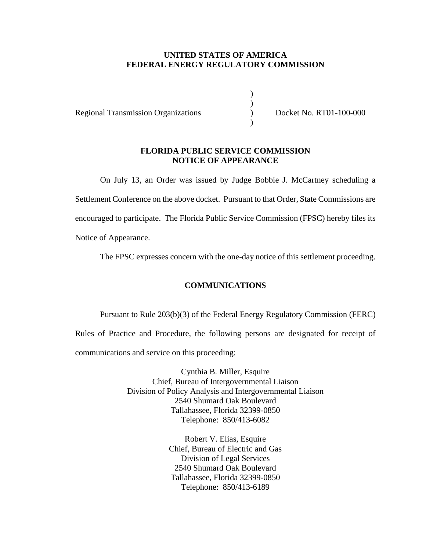### **UNITED STATES OF AMERICA FEDERAL ENERGY REGULATORY COMMISSION**

) )

Regional Transmission Organizations ) Docket No. RT01-100-000

 $)$ 

#### **FLORIDA PUBLIC SERVICE COMMISSION NOTICE OF APPEARANCE**

On July 13, an Order was issued by Judge Bobbie J. McCartney scheduling a Settlement Conference on the above docket. Pursuant to that Order, State Commissions are encouraged to participate. The Florida Public Service Commission (FPSC) hereby files its Notice of Appearance.

The FPSC expresses concern with the one-day notice of this settlement proceeding.

## **COMMUNICATIONS**

Pursuant to Rule 203(b)(3) of the Federal Energy Regulatory Commission (FERC) Rules of Practice and Procedure, the following persons are designated for receipt of communications and service on this proceeding:

> Cynthia B. Miller, Esquire Chief, Bureau of Intergovernmental Liaison Division of Policy Analysis and Intergovernmental Liaison 2540 Shumard Oak Boulevard Tallahassee, Florida 32399-0850 Telephone: 850/413-6082

> > Robert V. Elias, Esquire Chief, Bureau of Electric and Gas Division of Legal Services 2540 Shumard Oak Boulevard Tallahassee, Florida 32399-0850 Telephone: 850/413-6189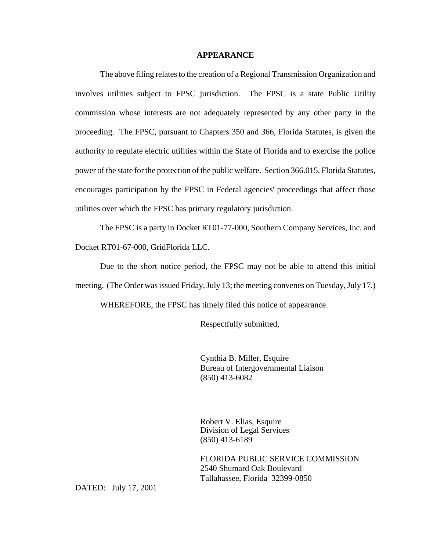#### **APPEARANCE**

The above filing relates to the creation of a Regional Transmission Organization and involves utilities subject to FPSC jurisdiction. The FPSC is a state Public Utility commission whose interests are not adequately represented by any other party in the proceeding. The FPSC, pursuant to Chapters 350 and 366, Florida Statutes, is given the authority to regulate electric utilities within the State of Florida and to exercise the police power of the state for the protection of the public welfare. Section 366.015, Florida Statutes, encourages participation by the FPSC in Federal agencies' proceedings that affect those utilities over which the FPSC has primary regulatory jurisdiction.

The FPSC is a party in Docket RT01-77-000, Southern Company Services, Inc. and Docket RT01-67-000, GridFlorida LLC.

Due to the short notice period, the FPSC may not be able to attend this initial meeting. (The Order was issued Friday, July 13; the meeting convenes on Tuesday, July 17.)

WHEREFORE, the FPSC has timely filed this notice of appearance.

Respectfully submitted,

Cynthia B. Miller, Esquire Bureau of Intergovernmental Liaison (850) 413-6082

Robert V. Elias, Esquire Division of Legal Services (850) 413-6189

FLORIDA PUBLIC SERVICE COMMISSION 2540 Shumard Oak Boulevard Tallahassee, Florida 32399-0850

DATED: July 17, 2001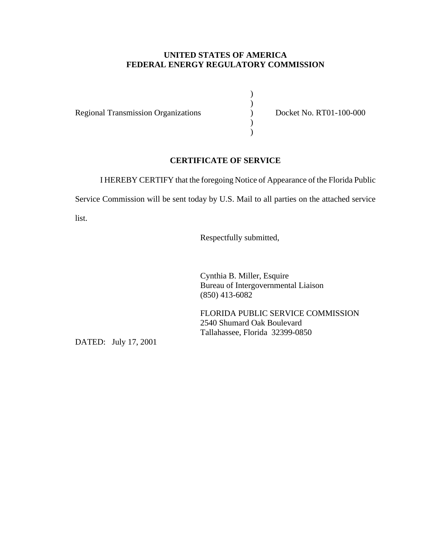## **UNITED STATES OF AMERICA FEDERAL ENERGY REGULATORY COMMISSION**

Regional Transmission Organizations (a) Docket No. RT01-100-000

 $)$ 

### **CERTIFICATE OF SERVICE**

I HEREBY CERTIFY that the foregoing Notice of Appearance of the Florida Public

) )

)

Service Commission will be sent today by U.S. Mail to all parties on the attached service

list.

Respectfully submitted,

Cynthia B. Miller, Esquire Bureau of Intergovernmental Liaison (850) 413-6082

FLORIDA PUBLIC SERVICE COMMISSION 2540 Shumard Oak Boulevard Tallahassee, Florida 32399-0850

DATED: July 17, 2001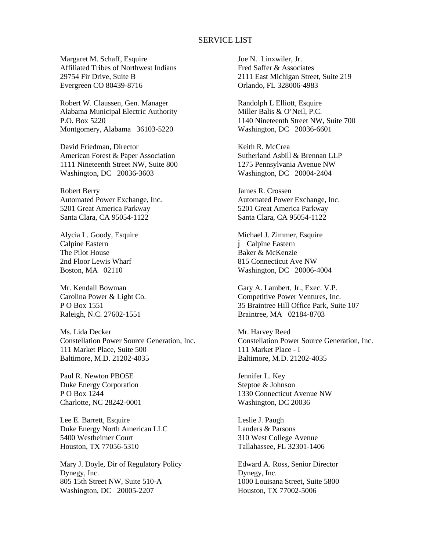#### SERVICE LIST

Margaret M. Schaff, Esquire Affiliated Tribes of Northwest Indians 29754 Fir Drive, Suite B Evergreen CO 80439-8716

Robert W. Claussen, Gen. Manager Alabama Municipal Electric Authority P.O. Box 5220 Montgomery, Alabama 36103-5220

David Friedman, Director American Forest & Paper Association 1111 Nineteenth Street NW, Suite 800 Washington, DC 20036-3603

Robert Berry Automated Power Exchange, Inc. 5201 Great America Parkway Santa Clara, CA 95054-1122

Alycia L. Goody, Esquire Calpine Eastern The Pilot House 2nd Floor Lewis Wharf Boston, MA 02110

Mr. Kendall Bowman Carolina Power & Light Co. P O Box 1551 Raleigh, N.C. 27602-1551

Ms. Lida Decker Constellation Power Source Generation, Inc. 111 Market Place, Suite 500 Baltimore, M.D. 21202-4035

Paul R. Newton PBO5E Duke Energy Corporation P O Box 1244 Charlotte, NC 28242-0001

Lee E. Barrett, Esquire Duke Energy North American LLC 5400 Westheimer Court Houston, TX 77056-5310

Mary J. Doyle, Dir of Regulatory Policy Dynegy, Inc. 805 15th Street NW, Suite 510-A Washington, DC 20005-2207

Joe N. Linxwiler, Jr. Fred Saffer & Associates 2111 East Michigan Street, Suite 219 Orlando, FL 328006-4983

Randolph L Elliott, Esquire Miller Balis & O'Neil, P.C. 1140 Nineteenth Street NW, Suite 700 Washington, DC 20036-6601

Keith R. McCrea Sutherland Asbill & Brennan LLP 1275 Pennsylvania Avenue NW Washington, DC 20004-2404

James R. Crossen Automated Power Exchange, Inc. 5201 Great America Parkway Santa Clara, CA 95054-1122

Michael J. Zimmer, Esquire j Calpine Eastern Baker & McKenzie 815 Connecticut Ave NW Washington, DC 20006-4004

Gary A. Lambert, Jr., Exec. V.P. Competitive Power Ventures, Inc. 35 Braintree Hill Office Park, Suite 107 Braintree, MA 02184-8703

Mr. Harvey Reed Constellation Power Source Generation, Inc. 111 Market Place - I Baltimore, M.D. 21202-4035

Jennifer L. Key Steptoe & Johnson 1330 Connecticut Avenue NW Washington, DC 20036

Leslie J. Paugh Landers & Parsons 310 West College Avenue Tallahassee, FL 32301-1406

Edward A. Ross, Senior Director Dynegy, Inc. 1000 Louisana Street, Suite 5800 Houston, TX 77002-5006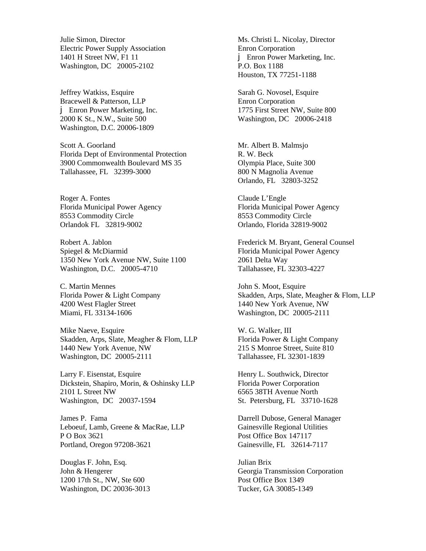Julie Simon, Director Electric Power Supply Association 1401 H Street NW, F1 11 Washington, DC 20005-2102

Jeffrey Watkiss, Esquire Bracewell & Patterson, LLP j Enron Power Marketing, Inc. 2000 K St., N.W., Suite 500 Washington, D.C. 20006-1809

Scott A. Goorland Florida Dept of Environmental Protection 3900 Commonwealth Boulevard MS 35 Tallahassee, FL 32399-3000

Roger A. Fontes Florida Municipal Power Agency 8553 Commodity Circle Orlandok FL 32819-9002

Robert A. Jablon Spiegel & McDiarmid 1350 New York Avenue NW, Suite 1100 Washington, D.C. 20005-4710

C. Martin Mennes Florida Power & Light Company 4200 West Flagler Street Miami, FL 33134-1606

Mike Naeve, Esquire Skadden, Arps, Slate, Meagher & Flom, LLP 1440 New York Avenue, NW Washington, DC 20005-2111

Larry F. Eisenstat, Esquire Dickstein, Shapiro, Morin, & Oshinsky LLP 2101 L Street NW Washington, DC 20037-1594

James P. Fama Leboeuf, Lamb, Greene & MacRae, LLP P O Box 3621 Portland, Oregon 97208-3621

Douglas F. John, Esq. John & Hengerer 1200 17th St., NW, Ste 600 Washington, DC 20036-3013 Ms. Christi L. Nicolay, Director Enron Corporation j Enron Power Marketing, Inc. P.O. Box 1188 Houston, TX 77251-1188

Sarah G. Novosel, Esquire Enron Corporation 1775 First Street NW, Suite 800 Washington, DC 20006-2418

Mr. Albert B. Malmsjo R. W. Beck Olympia Place, Suite 300 800 N Magnolia Avenue Orlando, FL 32803-3252

Claude L'Engle Florida Municipal Power Agency 8553 Commodity Circle Orlando, Florida 32819-9002

Frederick M. Bryant, General Counsel Florida Municipal Power Agency 2061 Delta Way Tallahassee, FL 32303-4227

John S. Moot, Esquire Skadden, Arps, Slate, Meagher & Flom, LLP 1440 New York Avenue, NW Washington, DC 20005-2111

W. G. Walker, III Florida Power & Light Company 215 S Monroe Street, Suite 810 Tallahassee, FL 32301-1839

Henry L. Southwick, Director Florida Power Corporation 6565 38TH Avenue North St. Petersburg, FL 33710-1628

Darrell Dubose, General Manager Gainesville Regional Utilities Post Office Box 147117 Gainesville, FL 32614-7117

Julian Brix Georgia Transmission Corporation Post Office Box 1349 Tucker, GA 30085-1349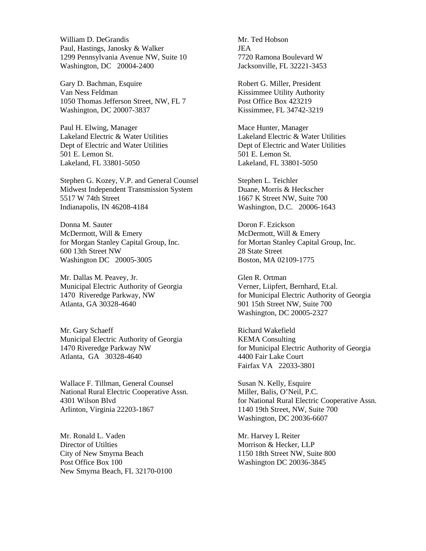William D. DeGrandis Paul, Hastings, Janosky & Walker 1299 Pennsylvania Avenue NW, Suite 10 Washington, DC 20004-2400

Gary D. Bachman, Esquire Van Ness Feldman 1050 Thomas Jefferson Street, NW, FL 7 Washington, DC 20007-3837

Paul H. Elwing, Manager Lakeland Electric & Water Utilities Dept of Electric and Water Utilities 501 E. Lemon St. Lakeland, FL 33801-5050

Stephen G. Kozey, V.P. and General Counsel Midwest Independent Transmission System 5517 W 74th Street Indianapolis, IN 46208-4184

Donna M. Sauter McDermott, Will & Emery for Morgan Stanley Capital Group, Inc. 600 13th Street NW Washington DC 20005-3005

Mr. Dallas M. Peavey, Jr. Municipal Electric Authority of Georgia 1470 Riveredge Parkway, NW Atlanta, GA 30328-4640

Mr. Gary Schaeff Municipal Electric Authority of Georgia 1470 Riveredge Parkway NW Atlanta, GA 30328-4640

Wallace F. Tillman, General Counsel National Rural Electric Cooperative Assn. 4301 Wilson Blvd Arlinton, Virginia 22203-1867

Mr. Ronald L. Vaden Director of Utilties City of New Smyrna Beach Post Office Box 100 New Smyrna Beach, FL 32170-0100 Mr. Ted Hobson JEA 7720 Ramona Boulevard W Jacksonville, FL 32221-3453

Robert G. Miller, President Kissimmee Utility Authority Post Office Box 423219 Kissimmee, FL 34742-3219

Mace Hunter, Manager Lakeland Electric & Water Utilities Dept of Electric and Water Utilities 501 E. Lemon St. Lakeland, FL 33801-5050

Stephen L. Teichler Duane, Morris & Heckscher 1667 K Street NW, Suite 700 Washington, D.C. 20006-1643

Doron F. Ezickson McDermott, Will & Emery for Mortan Stanley Capital Group, Inc. 28 State Street Boston, MA 02109-1775

Glen R. Ortman Verner, Liipfert, Bernhard, Et.al. for Municipal Electric Authority of Georgia 901 15th Street NW, Suite 700 Washington, DC 20005-2327

Richard Wakefield KEMA Consulting for Municipal Electric Authority of Georgia 4400 Fair Lake Court Fairfax VA 22033-3801

Susan N. Kelly, Esquire Miller, Balis, O'Neil, P.C. for National Rural Electric Cooperative Assn. 1140 19th Street, NW, Suite 700 Washington, DC 20036-6607

Mr. Harvey L Reiter Morrison & Hecker, LLP 1150 18th Street NW, Suite 800 Washington DC 20036-3845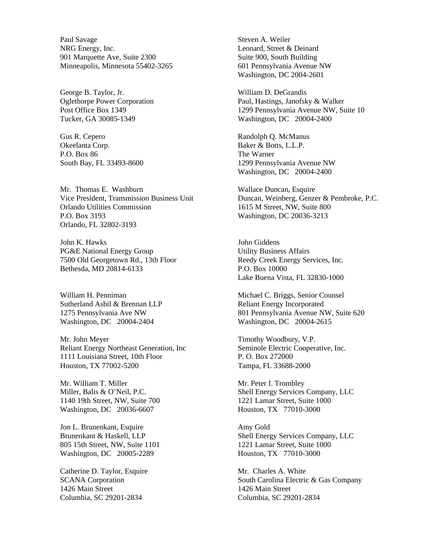Paul Savage NRG Energy, Inc. 901 Marquette Ave, Suite 2300 Minneapolis, Minnesota 55402-3265

George B. Taylor, Jr. Oglethorpe Power Corporation Post Office Box 1349 Tucker, GA 30085-1349

Gus R. Cepero Okeelanta Corp. P.O. Box 86 South Bay, FL 33493-8600

Mr. Thomas E. Washburn Vice President, Transmission Business Unit Orlando Utilities Commission P.O. Box 3193 Orlando, FL 32802-3193

John K. Hawks PG&E National Energy Group 7500 Old Georgetown Rd., 13th Floor Bethesda, MD 20814-6133

William H. Penniman Sutherland Asbil & Brennan LLP 1275 Pennsylvania Ave NW Washington, DC 20004-2404

Mr. John Meyer Reliant Energy Northeast Generation, Inc 1111 Louisiana Street, 10th Floor Houston, TX 77002-5200

Mr. William T. Miller Miller, Balis & O'Neil, P.C. 1140 19th Street, NW, Suite 700 Washington, DC 20036-6607

Jon L. Brunenkant, Esquire Brunenkant & Haskell, LLP 805 15th Street, NW, Suite 1101 Washington, DC 20005-2289

Catherine D. Taylor, Esquire SCANA Corporation 1426 Main Street Columbia, SC 29201-2834

Steven A. Weiler Leonard, Street & Deinard Suite 900, South Building 601 Pennsylvania Avenue NW Washington, DC 2004-2601

William D. DeGrandis Paul, Hastings, Janofsky & Walker 1299 Pennsylvania Avenue NW, Suite 10 Washington, DC 20004-2400

Randolph Q. McManus Baker & Botts, L.L.P. The Warner 1299 Pennsylvania Avenue NW Washington, DC 20004-2400

Wallace Duncan, Esquire Duncan, Weinberg, Genzer & Pembroke, P.C. 1615 M Street, NW, Suite 800 Washington, DC 20036-3213

John Giddens Utility Business Affairs Reedy Creek Energy Services, Inc. P.O. Box 10000 Lake Buena Vista, FL 32830-1000

Michael C. Briggs, Senior Counsel Reliant Energy Incorporated 801 Pennsylvania Avenue NW, Suite 620 Washington, DC 20004-2615

Timothy Woodbury, V.P. Seminole Electric Cooperative, Inc. P. O. Box 272000 Tampa, FL 33688-2000

Mr. Peter I. Trombley Shell Energy Services Company, LLC 1221 Lamar Street, Suite 1000 Houston, TX 77010-3000

Amy Gold Shell Energy Services Company, LLC 1221 Lamar Street, Suite 1000 Houston, TX 77010-3000

Mr. Charles A. White South Carolina Electric & Gas Company 1426 Main Street Columbia, SC 29201-2834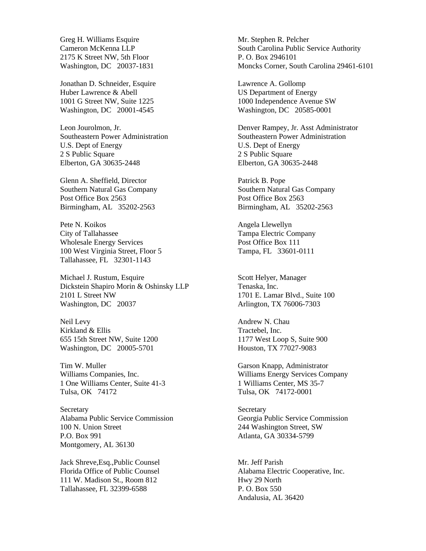Greg H. Williams Esquire Cameron McKenna LLP 2175 K Street NW, 5th Floor Washington, DC 20037-1831

Jonathan D. Schneider, Esquire Huber Lawrence & Abell 1001 G Street NW, Suite 1225 Washington, DC 20001-4545

Leon Jourolmon, Jr. Southeastern Power Administration U.S. Dept of Energy 2 S Public Square Elberton, GA 30635-2448

Glenn A. Sheffield, Director Southern Natural Gas Company Post Office Box 2563 Birmingham, AL 35202-2563

Pete N. Koikos City of Tallahassee Wholesale Energy Services 100 West Virginia Street, Floor 5 Tallahassee, FL 32301-1143

Michael J. Rustum, Esquire Dickstein Shapiro Morin & Oshinsky LLP 2101 L Street NW Washington, DC 20037

Neil Levy Kirkland & Ellis 655 15th Street NW, Suite 1200 Washington, DC 20005-5701

Tim W. Muller Williams Companies, Inc. 1 One Williams Center, Suite 41-3 Tulsa, OK 74172

Secretary Alabama Public Service Commission 100 N. Union Street P.O. Box 991 Montgomery, AL 36130

Jack Shreve,Esq.,Public Counsel Florida Office of Public Counsel 111 W. Madison St., Room 812 Tallahassee, FL 32399-6588

Mr. Stephen R. Pelcher South Carolina Public Service Authority P. O. Box 2946101 Moncks Corner, South Carolina 29461-6101

Lawrence A. Gollomp US Department of Energy 1000 Independence Avenue SW Washington, DC 20585-0001

Denver Rampey, Jr. Asst Administrator Southeastern Power Administration U.S. Dept of Energy 2 S Public Square Elberton, GA 30635-2448

Patrick B. Pope Southern Natural Gas Company Post Office Box 2563 Birmingham, AL 35202-2563

Angela Llewellyn Tampa Electric Company Post Office Box 111 Tampa, FL 33601-0111

Scott Helyer, Manager Tenaska, Inc. 1701 E. Lamar Blvd., Suite 100 Arlington, TX 76006-7303

Andrew N. Chau Tractebel, Inc. 1177 West Loop S, Suite 900 Houston, TX 77027-9083

Garson Knapp, Administrator Williams Energy Services Company 1 Williams Center, MS 35-7 Tulsa, OK 74172-0001

**Secretary** Georgia Public Service Commission 244 Washington Street, SW Atlanta, GA 30334-5799

Mr. Jeff Parish Alabama Electric Cooperative, Inc. Hwy 29 North P. O. Box 550 Andalusia, AL 36420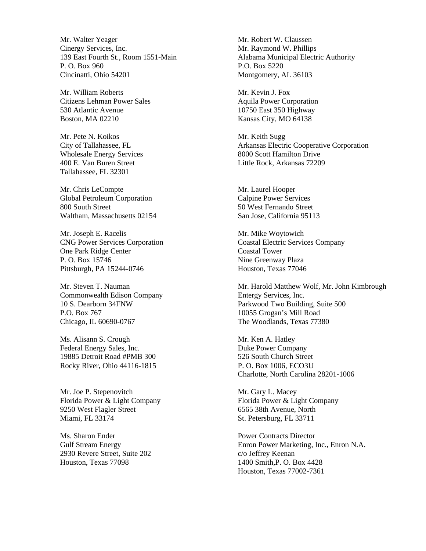Mr. Walter Yeager Cinergy Services, Inc. 139 East Fourth St., Room 1551-Main P. O. Box 960 Cincinatti, Ohio 54201

Mr. William Roberts Citizens Lehman Power Sales 530 Atlantic Avenue Boston, MA 02210

Mr. Pete N. Koikos City of Tallahassee, FL Wholesale Energy Services 400 E. Van Buren Street Tallahassee, FL 32301

Mr. Chris LeCompte Global Petroleum Corporation 800 South Street Waltham, Massachusetts 02154

Mr. Joseph E. Racelis CNG Power Services Corporation One Park Ridge Center P. O. Box 15746 Pittsburgh, PA 15244-0746

Mr. Steven T. Nauman Commonwealth Edison Company 10 S. Dearborn 34FNW P.O. Box 767 Chicago, IL 60690-0767

Ms. Alisann S. Crough Federal Energy Sales, Inc. 19885 Detroit Road #PMB 300 Rocky River, Ohio 44116-1815

Mr. Joe P. Stepenovitch Florida Power & Light Company 9250 West Flagler Street Miami, FL 33174

Ms. Sharon Ender Gulf Stream Energy 2930 Revere Street, Suite 202 Houston, Texas 77098

Mr. Robert W. Claussen Mr. Raymond W. Phillips Alabama Municipal Electric Authority P.O. Box 5220 Montgomery, AL 36103

Mr. Kevin J. Fox Aquila Power Corporation 10750 East 350 Highway Kansas City, MO 64138

Mr. Keith Sugg Arkansas Electric Cooperative Corporation 8000 Scott Hamilton Drive Little Rock, Arkansas 72209

Mr. Laurel Hooper Calpine Power Services 50 West Fernando Street San Jose, California 95113

Mr. Mike Woytowich Coastal Electric Services Company Coastal Tower Nine Greenway Plaza Houston, Texas 77046

Mr. Harold Matthew Wolf, Mr. John Kimbrough Entergy Services, Inc. Parkwood Two Building, Suite 500 10055 Grogan's Mill Road The Woodlands, Texas 77380

Mr. Ken A. Hatley Duke Power Company 526 South Church Street P. O. Box 1006, ECO3U Charlotte, North Carolina 28201-1006

Mr. Gary L. Macey Florida Power & Light Company 6565 38th Avenue, North St. Petersburg, FL 33711

Power Contracts Director Enron Power Marketing, Inc., Enron N.A. c/o Jeffrey Keenan 1400 Smith,P. O. Box 4428 Houston, Texas 77002-7361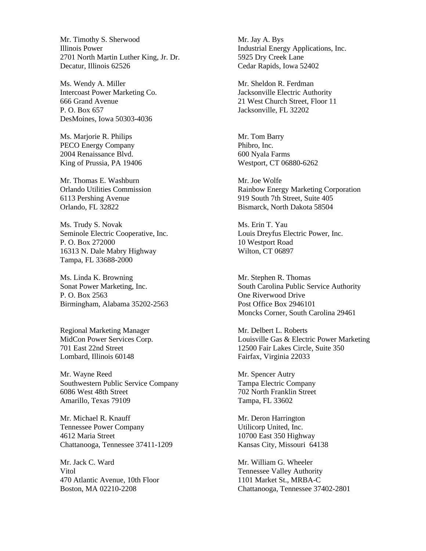Mr. Timothy S. Sherwood Illinois Power 2701 North Martin Luther King, Jr. Dr. Decatur, Illinois 62526

Ms. Wendy A. Miller Intercoast Power Marketing Co. 666 Grand Avenue P. O. Box 657 DesMoines, Iowa 50303-4036

Ms. Marjorie R. Philips PECO Energy Company 2004 Renaissance Blvd. King of Prussia, PA 19406

Mr. Thomas E. Washburn Orlando Utilities Commission 6113 Pershing Avenue Orlando, FL 32822

Ms. Trudy S. Novak Seminole Electric Cooperative, Inc. P. O. Box 272000 16313 N. Dale Mabry Highway Tampa, FL 33688-2000

Ms. Linda K. Browning Sonat Power Marketing, Inc. P. O. Box 2563 Birmingham, Alabama 35202-2563

Regional Marketing Manager MidCon Power Services Corp. 701 East 22nd Street Lombard, Illinois 60148

Mr. Wayne Reed Southwestern Public Service Company 6086 West 48th Street Amarillo, Texas 79109

Mr. Michael R. Knauff Tennessee Power Company 4612 Maria Street Chattanooga, Tennessee 37411-1209

Mr. Jack C. Ward Vitol 470 Atlantic Avenue, 10th Floor Boston, MA 02210-2208

Mr. Jay A. Bys Industrial Energy Applications, Inc. 5925 Dry Creek Lane Cedar Rapids, Iowa 52402

Mr. Sheldon R. Ferdman Jacksonville Electric Authority 21 West Church Street, Floor 11 Jacksonville, FL 32202

Mr. Tom Barry Phibro, Inc. 600 Nyala Farms Westport, CT 06880-6262

Mr. Joe Wolfe Rainbow Energy Marketing Corporation 919 South 7th Street, Suite 405 Bismarck, North Dakota 58504

Ms. Erin T. Yau Louis Dreyfus Electric Power, Inc. 10 Westport Road Wilton, CT 06897

Mr. Stephen R. Thomas South Carolina Public Service Authority One Riverwood Drive Post Office Box 2946101 Moncks Corner, South Carolina 29461

Mr. Delbert L. Roberts Louisville Gas & Electric Power Marketing 12500 Fair Lakes Circle, Suite 350 Fairfax, Virginia 22033

Mr. Spencer Autry Tampa Electric Company 702 North Franklin Street Tampa, FL 33602

Mr. Deron Harrington Utilicorp United, Inc. 10700 East 350 Highway Kansas City, Missouri 64138

Mr. William G. Wheeler Tennessee Valley Authority 1101 Market St., MRBA-C Chattanooga, Tennessee 37402-2801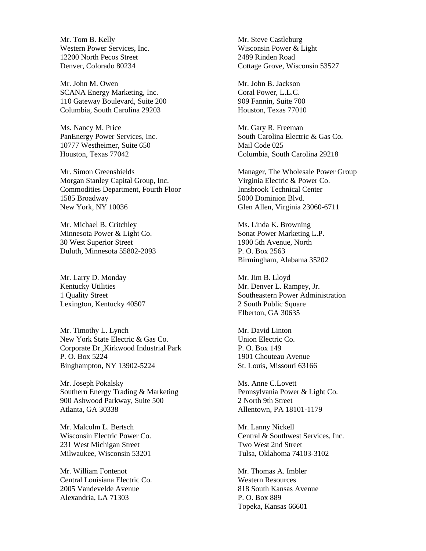Mr. Tom B. Kelly Western Power Services, Inc. 12200 North Pecos Street Denver, Colorado 80234

Mr. John M. Owen SCANA Energy Marketing, Inc. 110 Gateway Boulevard, Suite 200 Columbia, South Carolina 29203

Ms. Nancy M. Price PanEnergy Power Services, Inc. 10777 Westheimer, Suite 650 Houston, Texas 77042

Mr. Simon Greenshields Morgan Stanley Capital Group, Inc. Commodities Department, Fourth Floor 1585 Broadway New York, NY 10036

Mr. Michael B. Critchley Minnesota Power & Light Co. 30 West Superior Street Duluth, Minnesota 55802-2093

Mr. Larry D. Monday Kentucky Utilities 1 Quality Street Lexington, Kentucky 40507

Mr. Timothy L. Lynch New York State Electric & Gas Co. Corporate Dr.,Kirkwood Industrial Park P. O. Box 5224 Binghampton, NY 13902-5224

Mr. Joseph Pokalsky Southern Energy Trading & Marketing 900 Ashwood Parkway, Suite 500 Atlanta, GA 30338

Mr. Malcolm L. Bertsch Wisconsin Electric Power Co. 231 West Michigan Street Milwaukee, Wisconsin 53201

Mr. William Fontenot Central Louisiana Electric Co. 2005 Vandevelde Avenue Alexandria, LA 71303

Mr. Steve Castleburg Wisconsin Power & Light 2489 Rinden Road Cottage Grove, Wisconsin 53527

Mr. John B. Jackson Coral Power, L.L.C. 909 Fannin, Suite 700 Houston, Texas 77010

Mr. Gary R. Freeman South Carolina Electric & Gas Co. Mail Code 025 Columbia, South Carolina 29218

Manager, The Wholesale Power Group Virginia Electric & Power Co. Innsbrook Technical Center 5000 Dominion Blvd. Glen Allen, Virginia 23060-6711

Ms. Linda K. Browning Sonat Power Marketing L.P. 1900 5th Avenue, North P. O. Box 2563 Birmingham, Alabama 35202

Mr. Jim B. Lloyd Mr. Denver L. Rampey, Jr. Southeastern Power Administration 2 South Public Square Elberton, GA 30635

Mr. David Linton Union Electric Co. P. O. Box 149 1901 Chouteau Avenue St. Louis, Missouri 63166

Ms. Anne C.Lovett Pennsylvania Power & Light Co. 2 North 9th Street Allentown, PA 18101-1179

Mr. Lanny Nickell Central & Southwest Services, Inc. Two West 2nd Street Tulsa, Oklahoma 74103-3102

Mr. Thomas A. Imbler Western Resources 818 South Kansas Avenue P. O. Box 889 Topeka, Kansas 66601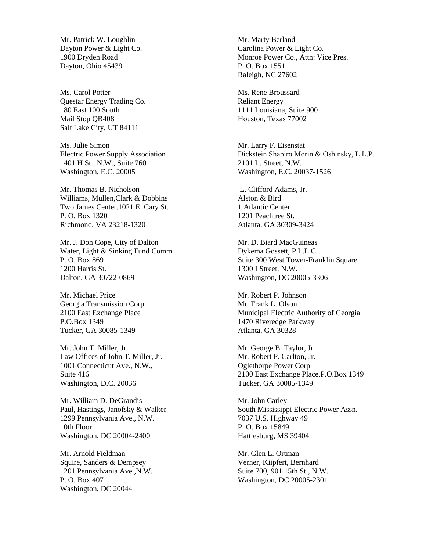Mr. Patrick W. Loughlin Dayton Power & Light Co. 1900 Dryden Road Dayton, Ohio 45439

Ms. Carol Potter Questar Energy Trading Co. 180 East 100 South Mail Stop QB408 Salt Lake City, UT 84111

Ms. Julie Simon Electric Power Supply Association 1401 H St., N.W., Suite 760 Washington, E.C. 20005

Mr. Thomas B. Nicholson Williams, Mullen,Clark & Dobbins Two James Center,1021 E. Cary St. P. O. Box 1320 Richmond, VA 23218-1320

Mr. J. Don Cope, City of Dalton Water, Light & Sinking Fund Comm. P. O. Box 869 1200 Harris St. Dalton, GA 30722-0869

Mr. Michael Price Georgia Transmission Corp. 2100 East Exchange Place P.O.Box 1349 Tucker, GA 30085-1349

Mr. John T. Miller, Jr. Law Offices of John T. Miller, Jr. 1001 Connecticut Ave., N.W., Suite 416 Washington, D.C. 20036

Mr. William D. DeGrandis Paul, Hastings, Janofsky & Walker 1299 Pennsylvania Ave., N.W. 10th Floor Washington, DC 20004-2400

Mr. Arnold Fieldman Squire, Sanders & Dempsey 1201 Pennsylvania Ave.,N.W. P. O. Box 407 Washington, DC 20044

Mr. Marty Berland Carolina Power & Light Co. Monroe Power Co., Attn: Vice Pres. P. O. Box 1551 Raleigh, NC 27602

Ms. Rene Broussard Reliant Energy 1111 Louisiana, Suite 900 Houston, Texas 77002

Mr. Larry F. Eisenstat Dickstein Shapiro Morin & Oshinsky, L.L.P. 2101 L. Street, N.W. Washington, E.C. 20037-1526

 L. Clifford Adams, Jr. Alston & Bird 1 Atlantic Center 1201 Peachtree St. Atlanta, GA 30309-3424

Mr. D. Biard MacGuineas Dykema Gossett, P L.L.C. Suite 300 West Tower-Franklin Square 1300 I Street, N.W. Washington, DC 20005-3306

Mr. Robert P. Johnson Mr. Frank L. Olson Municipal Electric Authority of Georgia 1470 Riveredge Parkway Atlanta, GA 30328

Mr. George B. Taylor, Jr. Mr. Robert P. Carlton, Jr. Oglethorpe Power Corp 2100 East Exchange Place,P.O.Box 1349 Tucker, GA 30085-1349

Mr. John Carley South Mississippi Electric Power Assn. 7037 U.S. Highway 49 P. O. Box 15849 Hattiesburg, MS 39404

Mr. Glen L. Ortman Verner, Kiipfert, Bernhard Suite 700, 901 15th St., N.W. Washington, DC 20005-2301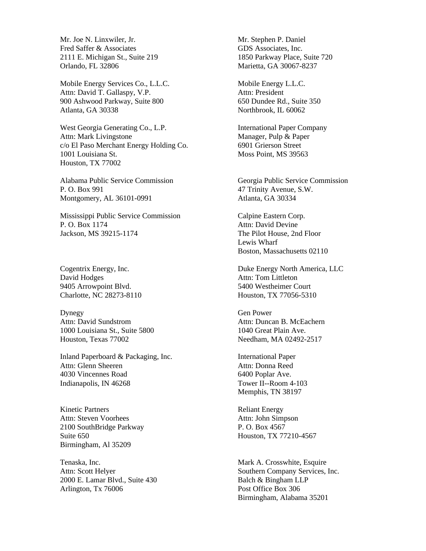Mr. Joe N. Linxwiler, Jr. Fred Saffer & Associates 2111 E. Michigan St., Suite 219 Orlando, FL 32806

Mobile Energy Services Co., L.L.C. Attn: David T. Gallaspy, V.P. 900 Ashwood Parkway, Suite 800 Atlanta, GA 30338

West Georgia Generating Co., L.P. Attn: Mark Livingstone c/o El Paso Merchant Energy Holding Co. 1001 Louisiana St. Houston, TX 77002

Alabama Public Service Commission P. O. Box 991 Montgomery, AL 36101-0991

Mississippi Public Service Commission P. O. Box 1174 Jackson, MS 39215-1174

Cogentrix Energy, Inc. David Hodges 9405 Arrowpoint Blvd. Charlotte, NC 28273-8110

Dynegy Attn: David Sundstrom 1000 Louisiana St., Suite 5800 Houston, Texas 77002

Inland Paperboard & Packaging, Inc. Attn: Glenn Sheeren 4030 Vincennes Road Indianapolis, IN 46268

Kinetic Partners Attn: Steven Voorhees 2100 SouthBridge Parkway Suite 650 Birmingham, Al 35209

Tenaska, Inc. Attn: Scott Helyer 2000 E. Lamar Blvd., Suite 430 Arlington, Tx 76006

Mr. Stephen P. Daniel GDS Associates, Inc. 1850 Parkway Place, Suite 720 Marietta, GA 30067-8237

Mobile Energy L.L.C. Attn: President 650 Dundee Rd., Suite 350 Northbrook, IL 60062

International Paper Company Manager, Pulp & Paper 6901 Grierson Street Moss Point, MS 39563

Georgia Public Service Commission 47 Trinity Avenue, S.W. Atlanta, GA 30334

Calpine Eastern Corp. Attn: David Devine The Pilot House, 2nd Floor Lewis Wharf Boston, Massachusetts 02110

Duke Energy North America, LLC Attn: Tom Littleton 5400 Westheimer Court Houston, TX 77056-5310

Gen Power Attn: Duncan B. McEachern 1040 Great Plain Ave. Needham, MA 02492-2517

International Paper Attn: Donna Reed 6400 Poplar Ave. Tower II--Room 4-103 Memphis, TN 38197

Reliant Energy Attn: John Simpson P. O. Box 4567 Houston, TX 77210-4567

Mark A. Crosswhite, Esquire Southern Company Services, Inc. Balch & Bingham LLP Post Office Box 306 Birmingham, Alabama 35201